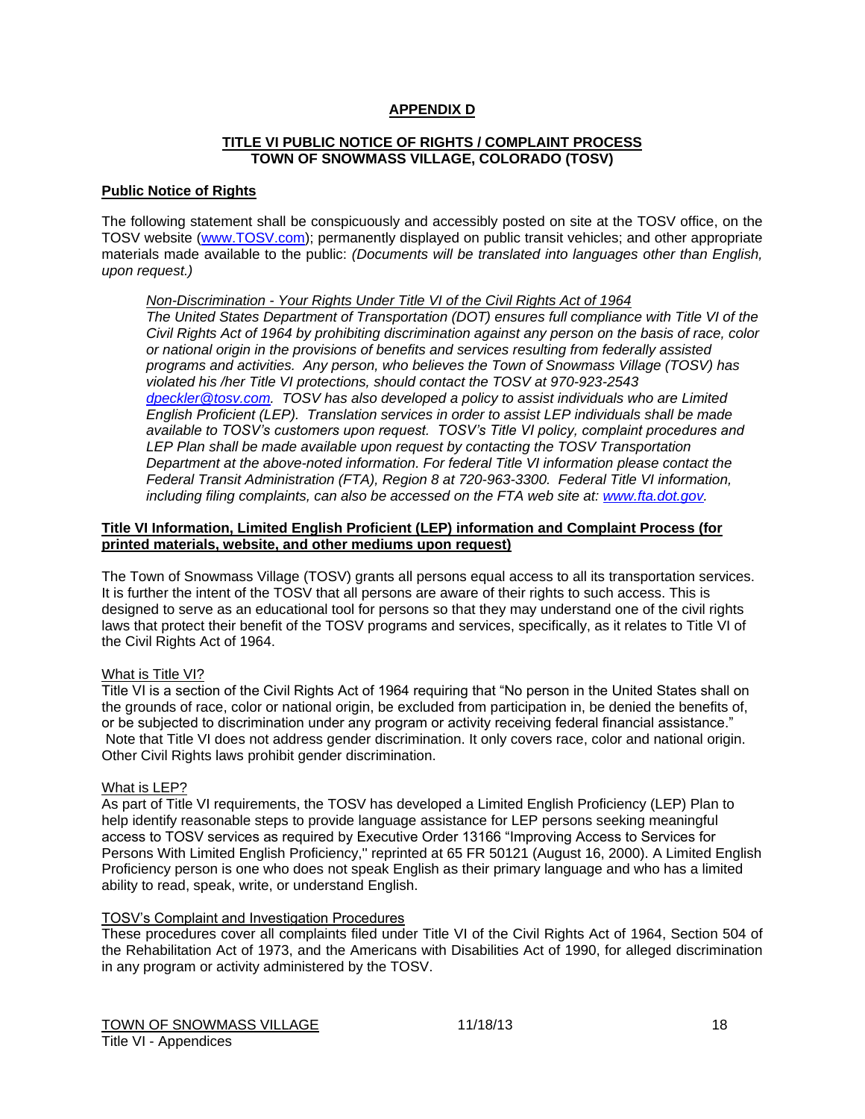## **APPENDIX D**

## **TITLE VI PUBLIC NOTICE OF RIGHTS / COMPLAINT PROCESS TOWN OF SNOWMASS VILLAGE, COLORADO (TOSV)**

## **Public Notice of Rights**

The following statement shall be conspicuously and accessibly posted on site at the TOSV office, on the TOSV website [\(www.TOSV.com\)](http://www.tosv.com/); permanently displayed on public transit vehicles; and other appropriate materials made available to the public: *(Documents will be translated into languages other than English, upon request.)*

## *Non-Discrimination - Your Rights Under Title VI of the Civil Rights Act of 1964*

*The United States Department of Transportation (DOT) ensures full compliance with Title VI of the Civil Rights Act of 1964 by prohibiting discrimination against any person on the basis of race, color or national origin in the provisions of benefits and services resulting from federally assisted programs and activities. Any person, who believes the Town of Snowmass Village (TOSV) has violated his /her Title VI protections, should contact the TOSV at 970-923-2543 [dpeckler@tosv.com.](mailto:dpeckler@tosv.com) TOSV has also developed a policy to assist individuals who are Limited English Proficient (LEP). Translation services in order to assist LEP individuals shall be made available to TOSV's customers upon request. TOSV's Title VI policy, complaint procedures and LEP Plan shall be made available upon request by contacting the TOSV Transportation Department at the above-noted information. For federal Title VI information please contact the Federal Transit Administration (FTA), Region 8 at 720-963-3300. Federal Title VI information, including filing complaints, can also be accessed on the FTA web site at: [www.fta.dot.gov.](http://www.fta.dot.gov/)*

## **Title VI Information, Limited English Proficient (LEP) information and Complaint Process (for printed materials, website, and other mediums upon request)**

The Town of Snowmass Village (TOSV) grants all persons equal access to all its transportation services. It is further the intent of the TOSV that all persons are aware of their rights to such access. This is designed to serve as an educational tool for persons so that they may understand one of the civil rights laws that protect their benefit of the TOSV programs and services, specifically, as it relates to Title VI of the Civil Rights Act of 1964.

## What is Title VI?

Title VI is a section of the Civil Rights Act of 1964 requiring that "No person in the United States shall on the grounds of race, color or national origin, be excluded from participation in, be denied the benefits of, or be subjected to discrimination under any program or activity receiving federal financial assistance." Note that Title VI does not address gender discrimination. It only covers race, color and national origin. Other Civil Rights laws prohibit gender discrimination.

## What is LEP?

As part of Title VI requirements, the TOSV has developed a Limited English Proficiency (LEP) Plan to help identify reasonable steps to provide language assistance for LEP persons seeking meaningful access to TOSV services as required by Executive Order 13166 "Improving Access to Services for Persons With Limited English Proficiency,'' reprinted at 65 FR 50121 (August 16, 2000). A Limited English Proficiency person is one who does not speak English as their primary language and who has a limited ability to read, speak, write, or understand English.

## TOSV's Complaint and Investigation Procedures

These procedures cover all complaints filed under Title VI of the Civil Rights Act of 1964, Section 504 of the Rehabilitation Act of 1973, and the Americans with Disabilities Act of 1990, for alleged discrimination in any program or activity administered by the TOSV.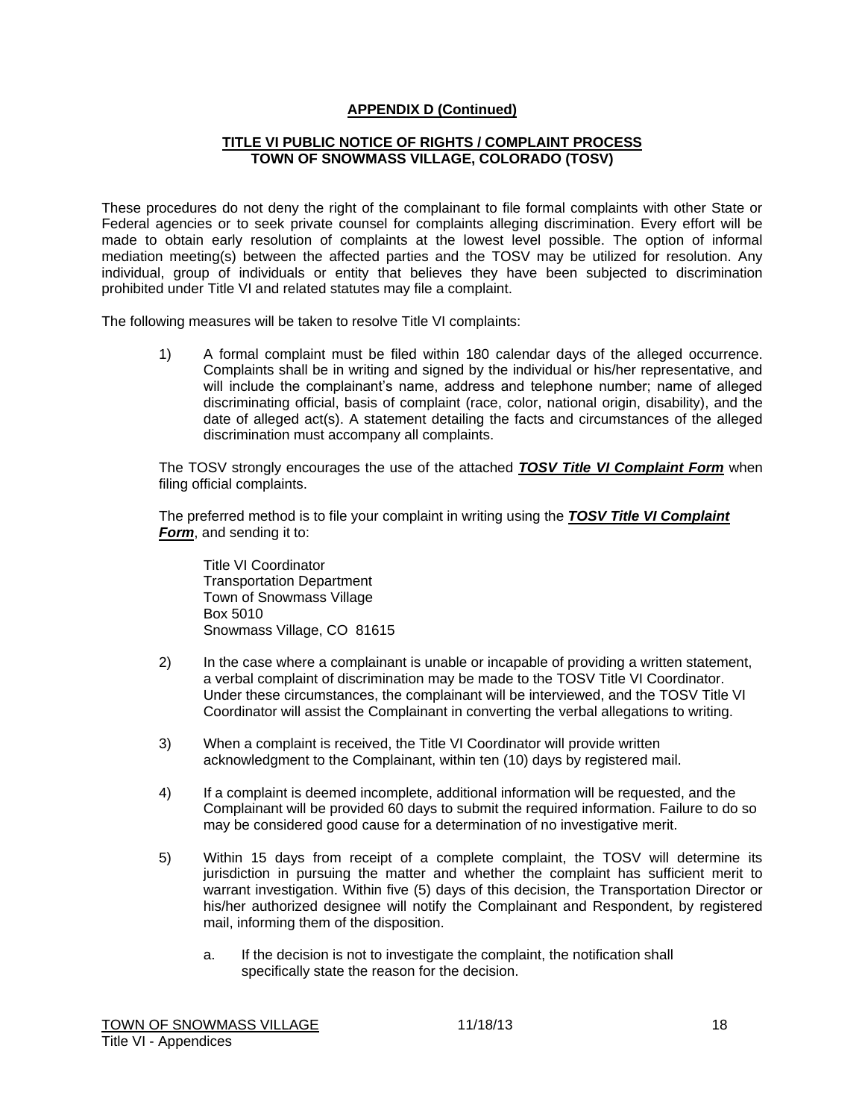## **APPENDIX D (Continued)**

## **TITLE VI PUBLIC NOTICE OF RIGHTS / COMPLAINT PROCESS TOWN OF SNOWMASS VILLAGE, COLORADO (TOSV)**

These procedures do not deny the right of the complainant to file formal complaints with other State or Federal agencies or to seek private counsel for complaints alleging discrimination. Every effort will be made to obtain early resolution of complaints at the lowest level possible. The option of informal mediation meeting(s) between the affected parties and the TOSV may be utilized for resolution. Any individual, group of individuals or entity that believes they have been subjected to discrimination prohibited under Title VI and related statutes may file a complaint.

The following measures will be taken to resolve Title VI complaints:

1) A formal complaint must be filed within 180 calendar days of the alleged occurrence. Complaints shall be in writing and signed by the individual or his/her representative, and will include the complainant's name, address and telephone number; name of alleged discriminating official, basis of complaint (race, color, national origin, disability), and the date of alleged act(s). A statement detailing the facts and circumstances of the alleged discrimination must accompany all complaints.

The TOSV strongly encourages the use of the attached *TOSV Title VI Complaint Form* when filing official complaints.

The preferred method is to file your complaint in writing using the *TOSV Title VI Complaint Form*, and sending it to:

Title VI Coordinator Transportation Department Town of Snowmass Village Box 5010 Snowmass Village, CO 81615

- 2) In the case where a complainant is unable or incapable of providing a written statement, a verbal complaint of discrimination may be made to the TOSV Title VI Coordinator. Under these circumstances, the complainant will be interviewed, and the TOSV Title VI Coordinator will assist the Complainant in converting the verbal allegations to writing.
- 3) When a complaint is received, the Title VI Coordinator will provide written acknowledgment to the Complainant, within ten (10) days by registered mail.
- 4) If a complaint is deemed incomplete, additional information will be requested, and the Complainant will be provided 60 days to submit the required information. Failure to do so may be considered good cause for a determination of no investigative merit.
- 5) Within 15 days from receipt of a complete complaint, the TOSV will determine its jurisdiction in pursuing the matter and whether the complaint has sufficient merit to warrant investigation. Within five (5) days of this decision, the Transportation Director or his/her authorized designee will notify the Complainant and Respondent, by registered mail, informing them of the disposition.
	- a. If the decision is not to investigate the complaint, the notification shall specifically state the reason for the decision.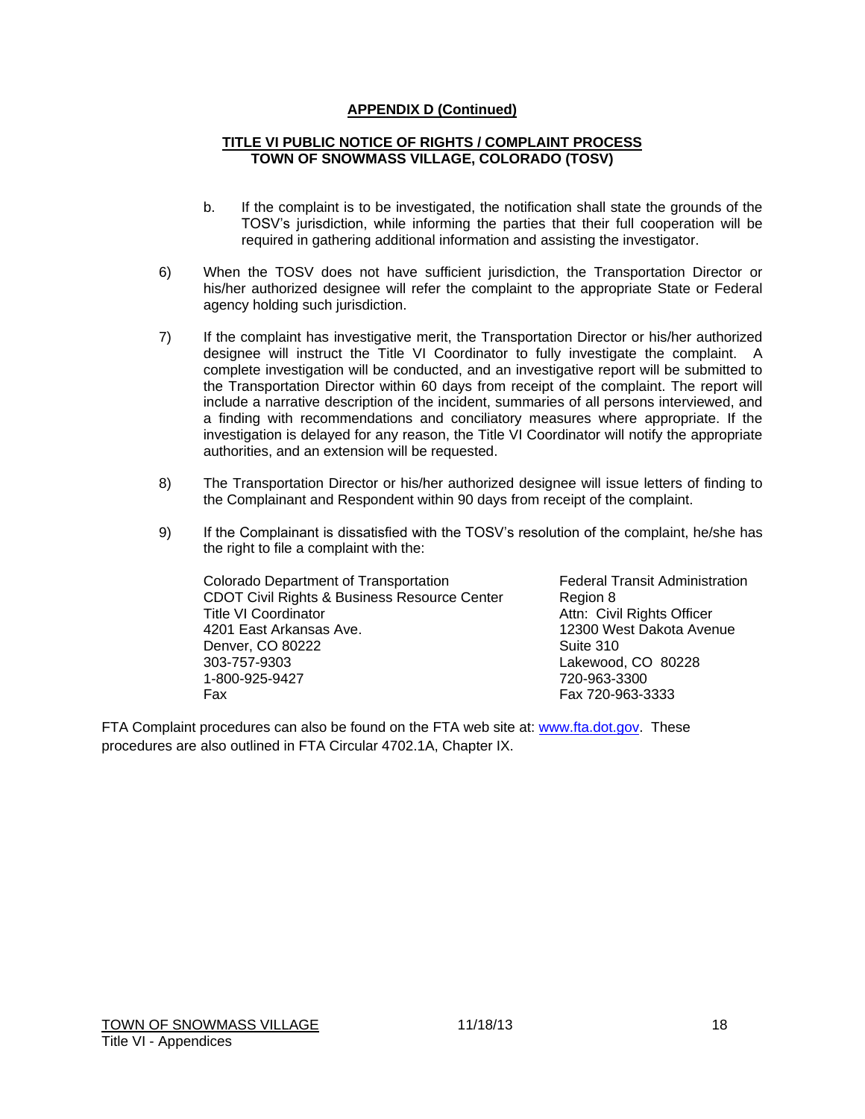## **APPENDIX D (Continued)**

## **TITLE VI PUBLIC NOTICE OF RIGHTS / COMPLAINT PROCESS TOWN OF SNOWMASS VILLAGE, COLORADO (TOSV)**

- b. If the complaint is to be investigated, the notification shall state the grounds of the TOSV's jurisdiction, while informing the parties that their full cooperation will be required in gathering additional information and assisting the investigator.
- 6) When the TOSV does not have sufficient jurisdiction, the Transportation Director or his/her authorized designee will refer the complaint to the appropriate State or Federal agency holding such jurisdiction.
- 7) If the complaint has investigative merit, the Transportation Director or his/her authorized designee will instruct the Title VI Coordinator to fully investigate the complaint. A complete investigation will be conducted, and an investigative report will be submitted to the Transportation Director within 60 days from receipt of the complaint. The report will include a narrative description of the incident, summaries of all persons interviewed, and a finding with recommendations and conciliatory measures where appropriate. If the investigation is delayed for any reason, the Title VI Coordinator will notify the appropriate authorities, and an extension will be requested.
- 8) The Transportation Director or his/her authorized designee will issue letters of finding to the Complainant and Respondent within 90 days from receipt of the complaint.
- 9) If the Complainant is dissatisfied with the TOSV's resolution of the complaint, he/she has the right to file a complaint with the:

Colorado Department of Transportation Federal Transit Administration CDOT Civil Rights & Business Resource Center Region 8 Title VI Coordinator **Attn:** Civil Rights Officer 4201 East Arkansas Ave. 12300 West Dakota Avenue Denver, CO 80222 Suite 310 303-757-9303 Lakewood, CO 80228 1-800-925-9427 Fax Fax 720-963-3333

FTA Complaint procedures can also be found on the FTA web site at: [www.fta.dot.gov.](http://www.fta.dot.gov/) These procedures are also outlined in FTA Circular 4702.1A, Chapter IX.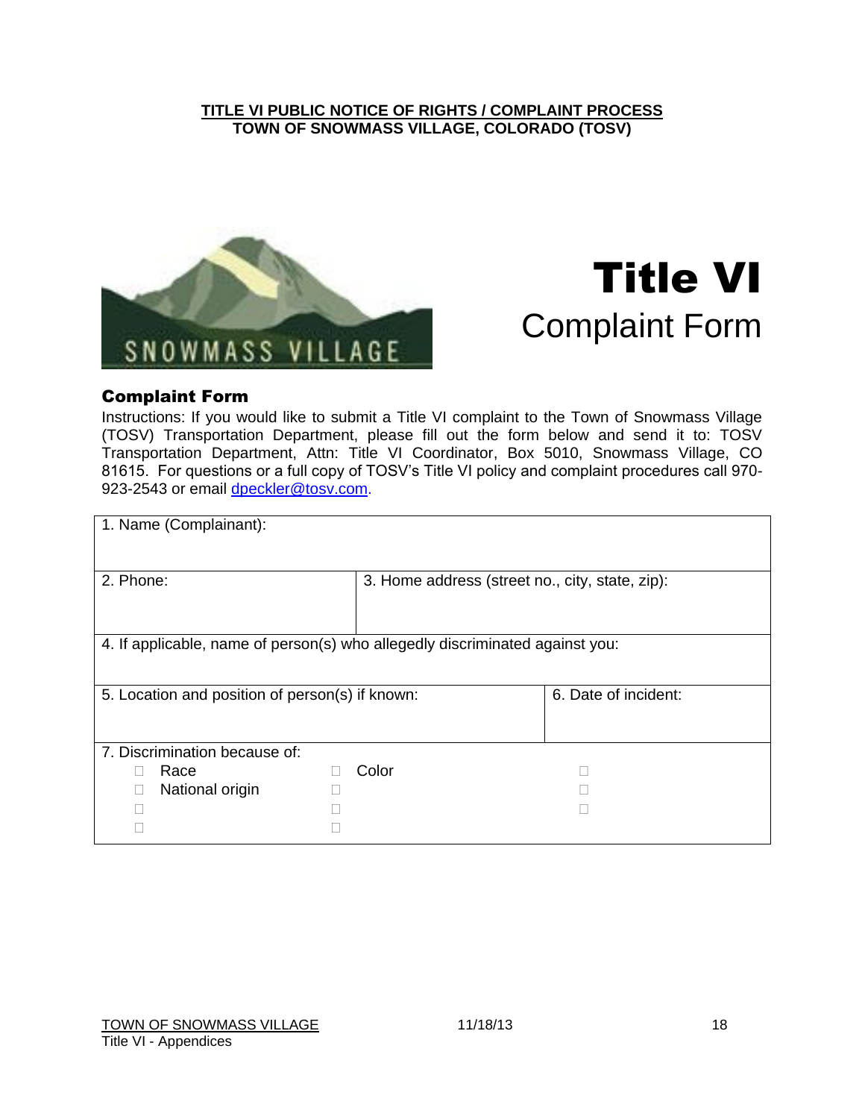# **TITLE VI PUBLIC NOTICE OF RIGHTS / COMPLAINT PROCESS TOWN OF SNOWMASS VILLAGE, COLORADO (TOSV)**



# Title VI Complaint Form

# Complaint Form

Instructions: If you would like to submit a Title VI complaint to the Town of Snowmass Village (TOSV) Transportation Department, please fill out the form below and send it to: TOSV Transportation Department, Attn: Title VI Coordinator, Box 5010, Snowmass Village, CO 81615. For questions or a full copy of TOSV's Title VI policy and complaint procedures call 970 923-2543 or email [dpeckler@tosv.com.](mailto:dpeckler@tosv.com)

| 1. Name (Complainant):                                                       |       |                                                 |  |  |
|------------------------------------------------------------------------------|-------|-------------------------------------------------|--|--|
| 2. Phone:                                                                    |       |                                                 |  |  |
|                                                                              |       | 3. Home address (street no., city, state, zip): |  |  |
|                                                                              |       |                                                 |  |  |
| 4. If applicable, name of person(s) who allegedly discriminated against you: |       |                                                 |  |  |
|                                                                              |       |                                                 |  |  |
| 5. Location and position of person(s) if known:                              |       | 6. Date of incident:                            |  |  |
|                                                                              |       |                                                 |  |  |
| 7. Discrimination because of:                                                |       |                                                 |  |  |
| Race                                                                         | Color |                                                 |  |  |
| National origin                                                              |       |                                                 |  |  |
|                                                                              |       |                                                 |  |  |
|                                                                              |       |                                                 |  |  |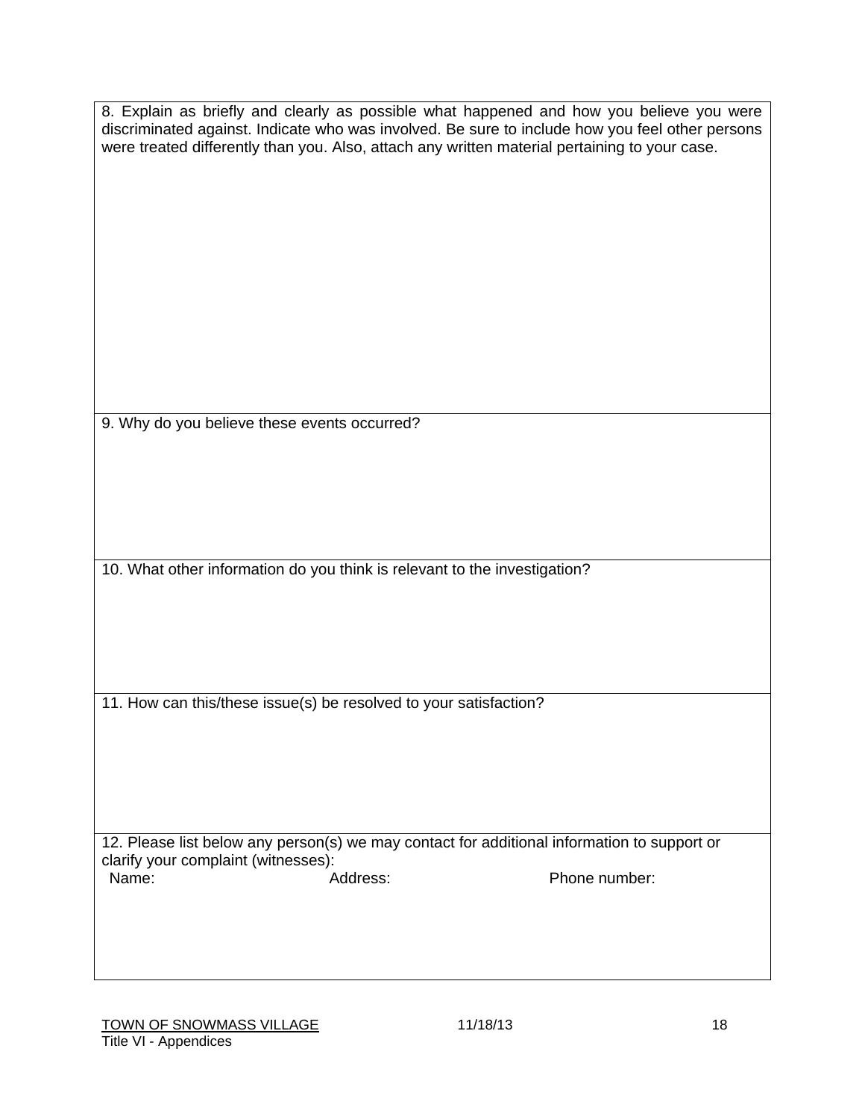|                                                                                             | were treated differently than you. Also, attach any written material pertaining to your case. | 8. Explain as briefly and clearly as possible what happened and how you believe you were<br>discriminated against. Indicate who was involved. Be sure to include how you feel other persons |  |  |
|---------------------------------------------------------------------------------------------|-----------------------------------------------------------------------------------------------|---------------------------------------------------------------------------------------------------------------------------------------------------------------------------------------------|--|--|
|                                                                                             |                                                                                               |                                                                                                                                                                                             |  |  |
| 9. Why do you believe these events occurred?                                                |                                                                                               |                                                                                                                                                                                             |  |  |
|                                                                                             | 10. What other information do you think is relevant to the investigation?                     |                                                                                                                                                                                             |  |  |
|                                                                                             |                                                                                               |                                                                                                                                                                                             |  |  |
|                                                                                             |                                                                                               |                                                                                                                                                                                             |  |  |
|                                                                                             | 11. How can this/these issue(s) be resolved to your satisfaction?                             |                                                                                                                                                                                             |  |  |
|                                                                                             |                                                                                               |                                                                                                                                                                                             |  |  |
| 12. Please list below any person(s) we may contact for additional information to support or |                                                                                               |                                                                                                                                                                                             |  |  |
| clarify your complaint (witnesses):<br>Name:                                                | Address:                                                                                      | Phone number:                                                                                                                                                                               |  |  |
|                                                                                             |                                                                                               |                                                                                                                                                                                             |  |  |